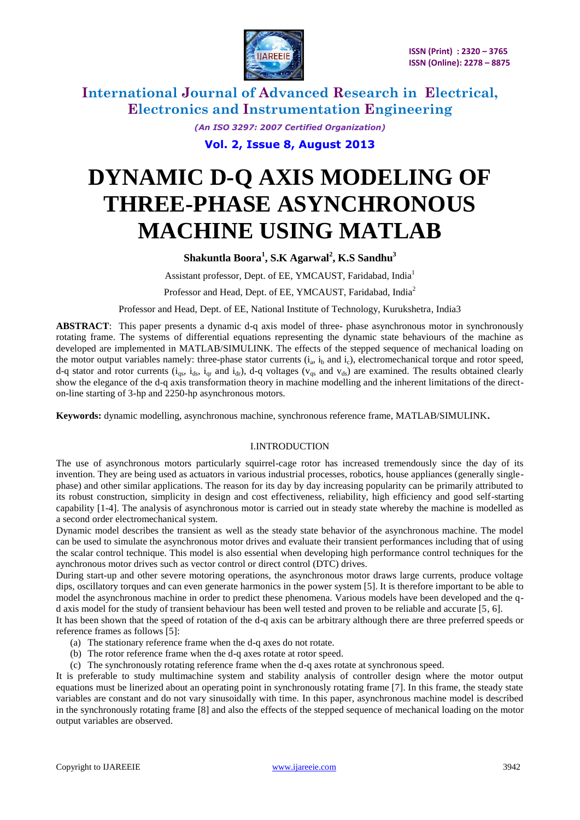

> *(An ISO 3297: 2007 Certified Organization)* **Vol. 2, Issue 8, August 2013**

# **DYNAMIC D-Q AXIS MODELING OF THREE-PHASE ASYNCHRONOUS MACHINE USING MATLAB**

### **Shakuntla Boora<sup>1</sup> , S.K Agarwal<sup>2</sup> , K.S Sandhu<sup>3</sup>**

Assistant professor, Dept. of EE, YMCAUST, Faridabad, India<sup>1</sup>

Professor and Head, Dept. of EE, YMCAUST, Faridabad, India<sup>2</sup>

Professor and Head, Dept. of EE, National Institute of Technology, Kurukshetra, India3

**ABSTRACT**: This paper presents a dynamic d-q axis model of three- phase asynchronous motor in synchronously rotating frame. The systems of differential equations representing the dynamic state behaviours of the machine as developed are implemented in MATLAB/SIMULINK. The effects of the stepped sequence of mechanical loading on the motor output variables namely: three-phase stator currents  $(i_a, i_b \text{ and } i_c)$ , electromechanical torque and rotor speed, d-q stator and rotor currents  $(i_{qs}, i_{ds}, i_{qr}$  and  $i_{dr}$ ), d-q voltages ( $v_{qs}$  and  $v_{ds}$ ) are examined. The results obtained clearly show the elegance of the d-q axis transformation theory in machine modelling and the inherent limitations of the directon-line starting of 3-hp and 2250-hp asynchronous motors.

**Keywords:** dynamic modelling, asynchronous machine, synchronous reference frame, MATLAB/SIMULINK**.**

#### I.INTRODUCTION

The use of asynchronous motors particularly squirrel-cage rotor has increased tremendously since the day of its invention. They are being used as actuators in various industrial processes, robotics, house appliances (generally singlephase) and other similar applications. The reason for its day by day increasing popularity can be primarily attributed to its robust construction, simplicity in design and cost effectiveness, reliability, high efficiency and good self-starting capability [1-4]. The analysis of asynchronous motor is carried out in steady state whereby the machine is modelled as a second order electromechanical system.

Dynamic model describes the transient as well as the steady state behavior of the asynchronous machine. The model can be used to simulate the asynchronous motor drives and evaluate their transient performances including that of using the scalar control technique. This model is also essential when developing high performance control techniques for the aynchronous motor drives such as vector control or direct control (DTC) drives.

During start-up and other severe motoring operations, the asynchronous motor draws large currents, produce voltage dips, oscillatory torques and can even generate harmonics in the power system [5]. It is therefore important to be able to model the asynchronous machine in order to predict these phenomena. Various models have been developed and the qd axis model for the study of transient behaviour has been well tested and proven to be reliable and accurate [5, 6].

It has been shown that the speed of rotation of the d-q axis can be arbitrary although there are three preferred speeds or reference frames as follows [5]:

- (a) The stationary reference frame when the d-q axes do not rotate.
- (b) The rotor reference frame when the d-q axes rotate at rotor speed.
- (c) The synchronously rotating reference frame when the d-q axes rotate at synchronous speed.

It is preferable to study multimachine system and stability analysis of controller design where the motor output equations must be linerized about an operating point in synchronously rotating frame [7]. In this frame, the steady state variables are constant and do not vary sinusoidally with time. In this paper, asynchronous machine model is described in the synchronously rotating frame [8] and also the effects of the stepped sequence of mechanical loading on the motor output variables are observed.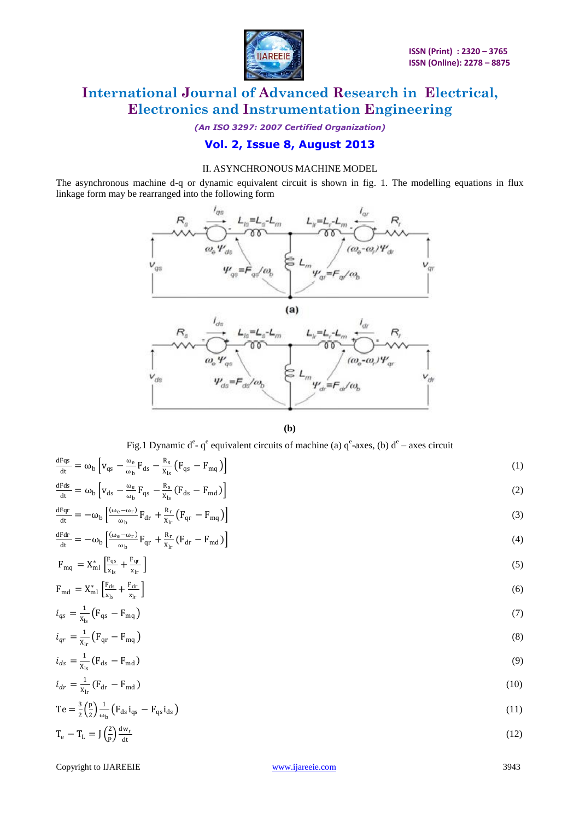

*(An ISO 3297: 2007 Certified Organization)*

### **Vol. 2, Issue 8, August 2013**

### II. ASYNCHRONOUS MACHINE MODEL

The asynchronous machine d-q or dynamic equivalent circuit is shown in fig. 1. The modelling equations in flux linkage form may be rearranged into the following form





Fig.1 Dynamic d<sup>e</sup>- q<sup>e</sup> equivalent circuits of machine (a) q<sup>e</sup>-axes, (b) d<sup>e</sup> – axes circuit

| $\frac{dFqs}{dt} = \omega_b \left[ v_{qs} - \frac{\omega_e}{\omega} F_{ds} - \frac{R_s}{x_a} (F_{qs} - F_{mq}) \right]$           | (1)  |
|-----------------------------------------------------------------------------------------------------------------------------------|------|
| $\frac{dFds}{dt} = \omega_b \left[ v_{ds} - \frac{\omega_e}{\omega_b} F_{qs} - \frac{R_s}{x_b} (F_{ds} - F_{md}) \right]$         | (2)  |
| $\frac{dFqr}{dt} = -\omega_b \left[ \frac{(\omega_e - \omega_r)}{\omega_r} F_{dr} + \frac{R_r}{x_r} (F_{qr} - F_{mq}) \right]$    | (3)  |
| $\frac{dFdr}{dt} = -\omega_b \left[ \frac{(\omega_e - \omega_r)}{\omega_b} F_{qr} + \frac{R_r}{x_{1r}} (F_{dr} - F_{md}) \right]$ | (4)  |
| $F_{mq} = X_{ml}^* \left[ \frac{F_{qs}}{x_{1}} + \frac{F_{qr}}{x_{1}} \right]$                                                    | (5)  |
| $F_{\text{md}} = X_{\text{ml}}^* \left[ \frac{F_{ds}}{v} + \frac{F_{dr}}{v} \right]$                                              | (6)  |
| $i_{qs} = \frac{1}{x_1} (F_{qs} - F_{mq})$                                                                                        | (7)  |
| $i_{qr} = \frac{1}{x_1} (F_{qr} - F_{mq})$                                                                                        | (8)  |
| $i_{ds} = \frac{1}{x_{1}} (F_{ds} - F_{md})$                                                                                      | (9)  |
| $i_{dr} = \frac{1}{x} (F_{dr} - F_{md})$                                                                                          | (10) |
| Te = $\frac{3}{2} \left( \frac{p}{2} \right) \frac{1}{\omega_{\text{th}}} \left( F_{ds} i_{qs} - F_{qs} i_{ds} \right)$           | (11) |
| $m \rightarrow l^2\mathrm{V} \mathrm{d}w_r$                                                                                       |      |

 $T_e - T_L = J \left(\frac{2}{R}\right)$  $\frac{2}{p} \frac{dw_r}{dt}$ dt  $(12)$ 

Copyright to IJAREEIE [www.ijareeie.com](http://www.ijareeie.com/) 3943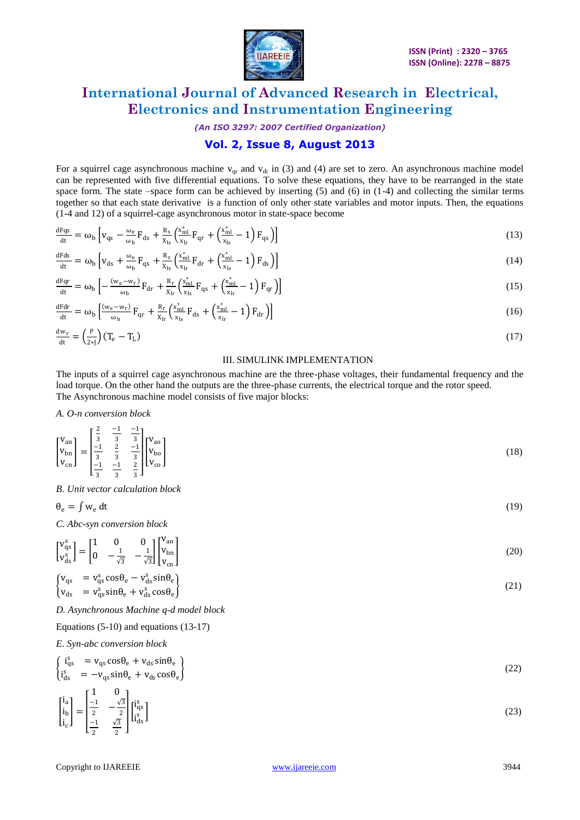

*(An ISO 3297: 2007 Certified Organization)*

### **Vol. 2, Issue 8, August 2013**

For a squirrel cage asynchronous machine  $v_{qr}$  and  $v_{dr}$  in (3) and (4) are set to zero. An asynchronous machine model can be represented with five differential equations. To solve these equations, they have to be rearranged in the state space form. The state –space form can be achieved by inserting  $(5)$  and  $(6)$  in  $(1-4)$  and collecting the similar terms together so that each state derivative is a function of only other state variables and motor inputs. Then, the equations (1-4 and 12) of a squirrel-cage asynchronous motor in state-space become

$$
\frac{dFqs}{dt} = \omega_b \left[ v_{qs} - \frac{\omega_e}{\omega_b} F_{ds} + \frac{R_s}{X_{ls}} \left( \frac{x_{ml}^*}{x_{lr}} F_{qr} + \left( \frac{x_{ml}^*}{x_{ls}} - 1 \right) F_{qs} \right) \right]
$$
(13)

$$
\frac{dFds}{dt} = \omega_b \left[ v_{ds} + \frac{\omega_e}{\omega_b} F_{qs} + \frac{R_s}{X_{ls}} \left( \frac{x_{ml}^*}{x_{lr}} F_{dr} + \left( \frac{x_{ml}^*}{x_{ls}} - 1 \right) F_{ds} \right) \right]
$$
(14)

$$
\frac{dFqr}{dt} = \omega_b \left[ -\frac{(w_e - w_r)}{\omega_b} F_{dr} + \frac{R_r}{X_{lr}} \left( \frac{x_{ml}^*}{x_{ls}} F_{qs} + \left( \frac{x_{ml}^*}{x_{lr}} - 1 \right) F_{qr} \right) \right]
$$
(15)

$$
\frac{dFdr}{dt} = \omega_b \left[ \frac{(w_e - w_r)}{\omega_b} F_{qr} + \frac{R_r}{X_{lr}} \left( \frac{x_{ml}^*}{x_{ls}} F_{ds} + \left( \frac{x_{ml}^*}{x_{lr}} - 1 \right) F_{dr} \right) \right]
$$
(16)

$$
\frac{dw_r}{dt} = \left(\frac{P}{2*J}\right)(T_e - T_L) \tag{17}
$$

#### III. SIMULINK IMPLEMENTATION

The inputs of a squirrel cage asynchronous machine are the three-phase voltages, their fundamental frequency and the load torque. On the other hand the outputs are the three-phase currents, the electrical torque and the rotor speed. The Asynchronous machine model consists of five major blocks:

*A. O-n conversion block*

$$
\begin{bmatrix}\nV_{\text{an}} \\
V_{\text{bn}} \\
V_{\text{cn}}\n\end{bmatrix} = \begin{bmatrix}\n\frac{2}{3} & \frac{-1}{3} & \frac{-1}{3} \\
\frac{-1}{3} & \frac{2}{3} & \frac{-1}{3} \\
\frac{-1}{3} & \frac{-1}{3} & \frac{2}{3}\n\end{bmatrix} \begin{bmatrix}\nV_{\text{ao}} \\
V_{\text{bo}} \\
V_{\text{co}}\n\end{bmatrix}
$$
\n(18)

*B. Unit vector calculation block*

$$
\theta_{\rm e} = \int w_{\rm e} \, dt \tag{19}
$$

*C. Abc-syn conversion block*

$$
\begin{bmatrix}\nV_{qs}^s \\
V_{ds}^s\n\end{bmatrix} = \begin{bmatrix}\n1 & 0 & 0 \\
0 & -\frac{1}{\sqrt{3}} & -\frac{1}{\sqrt{3}}\n\end{bmatrix} \begin{bmatrix}\nV_{an} \\
V_{bn} \\
V_{cn}\n\end{bmatrix}
$$
\n(20)

$$
\begin{cases}\nv_{\text{qs}} &= v_{\text{qs}}^s \cos \theta_{\text{e}} - v_{\text{ds}}^s \sin \theta_{\text{e}} \\
v_{\text{ds}} &= v_{\text{qs}}^s \sin \theta_{\text{e}} + v_{\text{ds}}^s \cos \theta_{\text{e}}\n\end{cases}
$$
\n(21)

*D. Asynchronous Machine q-d model block*

Equations (5-10) and equations (13-17)

*E. Syn-abc conversion block*

$$
\begin{cases}\n\mathbf{i}_{\text{qs}}^{\text{s}} &= \mathbf{v}_{\text{qs}}\cos\theta_{\text{e}} + \mathbf{v}_{\text{ds}}\sin\theta_{\text{e}} \\
\mathbf{i}_{\text{ds}}^{\text{s}} &= -\mathbf{v}_{\text{qs}}\sin\theta_{\text{e}} + \mathbf{v}_{\text{ds}}\cos\theta_{\text{e}}\n\end{cases}\n\tag{22}
$$

$$
\begin{bmatrix} i_a \\ i_b \\ i_c \end{bmatrix} = \begin{bmatrix} 1 & 0 \\ \frac{-1}{2} & -\frac{\sqrt{3}}{2} \\ \frac{-1}{2} & \frac{\sqrt{3}}{2} \end{bmatrix} \begin{bmatrix} i_a^s \\ i_a^s \end{bmatrix}
$$
(23)

Copyright to IJAREEIE [www.ijareeie.com](http://www.ijareeie.com/) 3944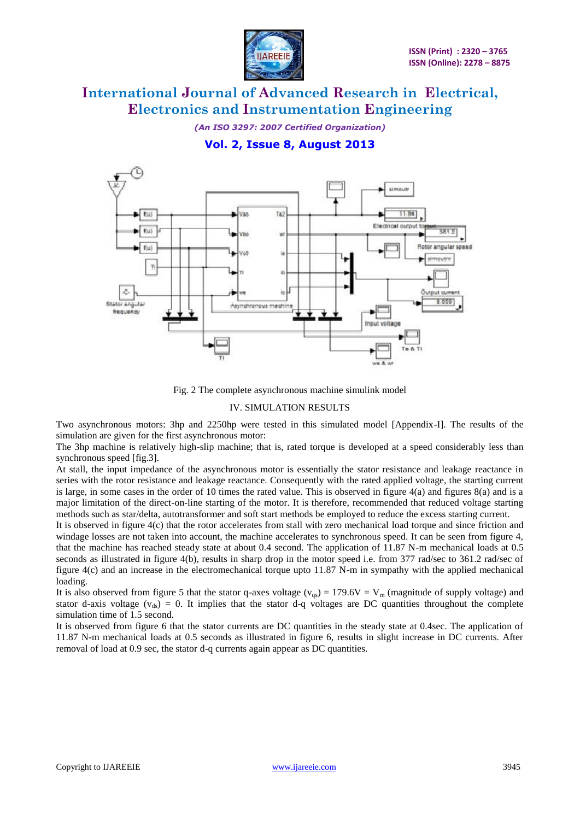

*(An ISO 3297: 2007 Certified Organization)*

**Vol. 2, Issue 8, August 2013**



Fig. 2 The complete asynchronous machine simulink model

#### IV. SIMULATION RESULTS

Two asynchronous motors: 3hp and 2250hp were tested in this simulated model [Appendix-I]. The results of the simulation are given for the first asynchronous motor:

The 3hp machine is relatively high-slip machine; that is, rated torque is developed at a speed considerably less than synchronous speed [fig.3].

At stall, the input impedance of the asynchronous motor is essentially the stator resistance and leakage reactance in series with the rotor resistance and leakage reactance. Consequently with the rated applied voltage, the starting current is large, in some cases in the order of 10 times the rated value. This is observed in figure  $4(a)$  and figures  $8(a)$  and is a major limitation of the direct-on-line starting of the motor. It is therefore, recommended that reduced voltage starting methods such as star/delta, autotransformer and soft start methods be employed to reduce the excess starting current.

It is observed in figure 4(c) that the rotor accelerates from stall with zero mechanical load torque and since friction and windage losses are not taken into account, the machine accelerates to synchronous speed. It can be seen from figure 4, that the machine has reached steady state at about 0.4 second. The application of 11.87 N-m mechanical loads at 0.5 seconds as illustrated in figure 4(b), results in sharp drop in the motor speed i.e. from 377 rad/sec to 361.2 rad/sec of figure 4(c) and an increase in the electromechanical torque upto 11.87 N-m in sympathy with the applied mechanical loading.

It is also observed from figure 5 that the stator q-axes voltage ( $v_{\text{qs}}$ ) = 179.6V = V<sub>m</sub> (magnitude of supply voltage) and stator d-axis voltage ( $v_{ds}$ ) = 0. It implies that the stator d-q voltages are DC quantities throughout the complete simulation time of 1.5 second.

It is observed from figure 6 that the stator currents are DC quantities in the steady state at 0.4sec. The application of 11.87 N-m mechanical loads at 0.5 seconds as illustrated in figure 6, results in slight increase in DC currents. After removal of load at 0.9 sec, the stator d-q currents again appear as DC quantities.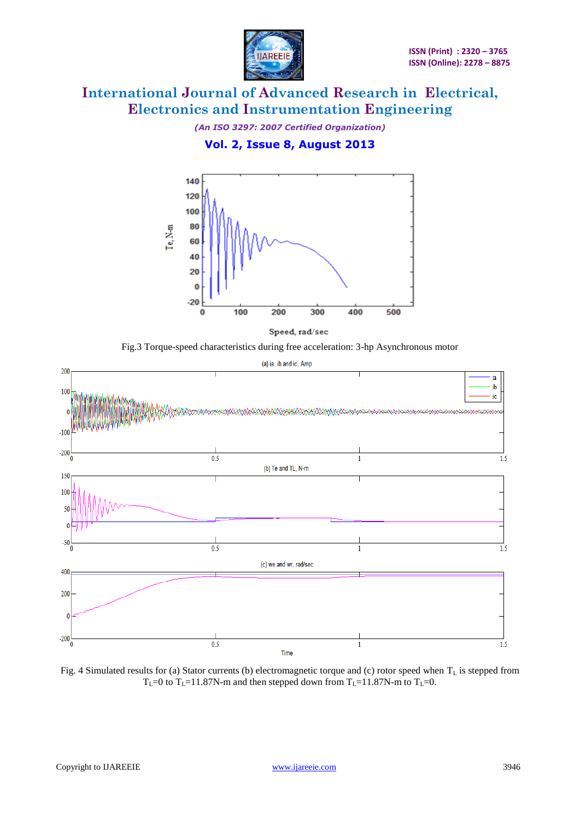

*(An ISO 3297: 2007 Certified Organization)*





Speed, rad/sec

Fig.3 Torque-speed characteristics during free acceleration: 3-hp Asynchronous motor



Fig. 4 Simulated results for (a) Stator currents (b) electromagnetic torque and (c) rotor speed when  $T_L$  is stepped from  $T_L=0$  to  $T_L=11.87$ N-m and then stepped down from  $T_L=11.87$ N-m to  $T_L=0$ .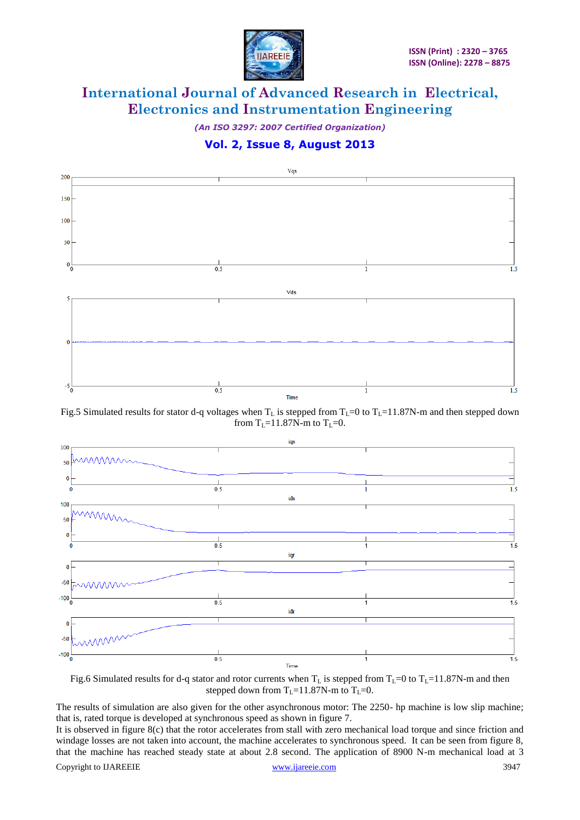

*(An ISO 3297: 2007 Certified Organization)*





Fig.5 Simulated results for stator d-q voltages when  $T_L$  is stepped from  $T_L=0$  to  $T_L=11.87$ N-m and then stepped down from  $T_1$ =11.87N-m to  $T_1$ =0.



Fig.6 Simulated results for d-q stator and rotor currents when  $T_L$  is stepped from  $T_L=0$  to  $T_L=11.87$ N-m and then stepped down from  $T_L=11.87$ N-m to  $T_L=0$ .

The results of simulation are also given for the other asynchronous motor: The 2250- hp machine is low slip machine; that is, rated torque is developed at synchronous speed as shown in figure 7.

It is observed in figure 8(c) that the rotor accelerates from stall with zero mechanical load torque and since friction and windage losses are not taken into account, the machine accelerates to synchronous speed. It can be seen from figure 8, that the machine has reached steady state at about 2.8 second. The application of 8900 N-m mechanical load at 3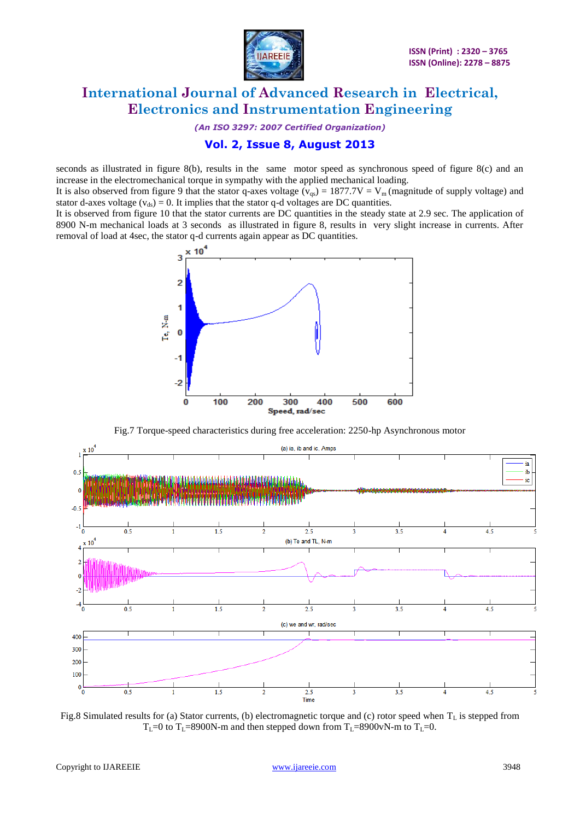

*(An ISO 3297: 2007 Certified Organization)*

### **Vol. 2, Issue 8, August 2013**

seconds as illustrated in figure 8(b), results in the same motor speed as synchronous speed of figure 8(c) and an increase in the electromechanical torque in sympathy with the applied mechanical loading.

It is also observed from figure 9 that the stator q-axes voltage ( $v_{gs}$ ) = 1877.7V = V<sub>m</sub> (magnitude of supply voltage) and stator d-axes voltage ( $v_{ds}$ ) = 0. It implies that the stator q-d voltages are DC quantities.

It is observed from figure 10 that the stator currents are DC quantities in the steady state at 2.9 sec. The application of 8900 N-m mechanical loads at 3 seconds as illustrated in figure 8, results in very slight increase in currents. After removal of load at 4sec, the stator q-d currents again appear as DC quantities.



Fig.7 Torque-speed characteristics during free acceleration: 2250-hp Asynchronous motor



Fig.8 Simulated results for (a) Stator currents, (b) electromagnetic torque and (c) rotor speed when  $T_L$  is stepped from  $T_L=0$  to  $T_L=8900N$ -m and then stepped down from  $T_L=8900$  vN-m to  $T_L=0$ .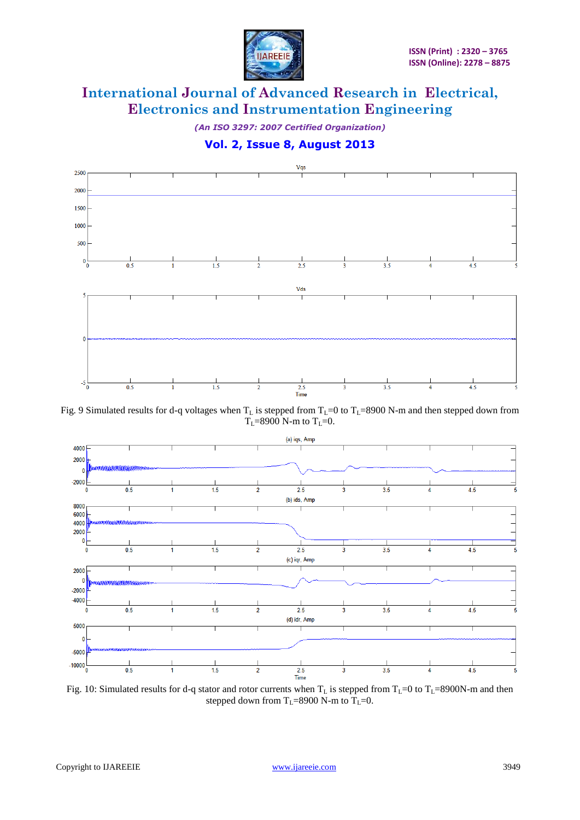

*(An ISO 3297: 2007 Certified Organization)*

**Vol. 2, Issue 8, August 2013**



Fig. 9 Simulated results for d-q voltages when  $T_L$  is stepped from  $T_L=0$  to  $T_L=8900$  N-m and then stepped down from  $T_1 = 8900$  N-m to  $T_1 = 0$ .



Fig. 10: Simulated results for d-q stator and rotor currents when  $T_L$  is stepped from  $T_L$ =0 to  $T_L$ =8900N-m and then stepped down from  $T_L$ =8900 N-m to  $T_L$ =0.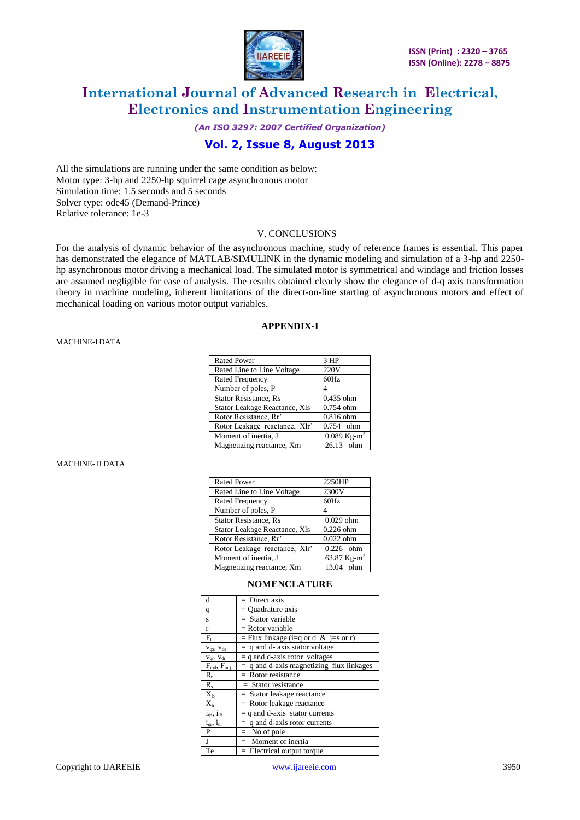

*(An ISO 3297: 2007 Certified Organization)*

### **Vol. 2, Issue 8, August 2013**

All the simulations are running under the same condition as below: Motor type: 3-hp and 2250-hp squirrel cage asynchronous motor Simulation time: 1.5 seconds and 5 seconds Solver type: ode45 (Demand-Prince) Relative tolerance: 1e-3

### V. CONCLUSIONS

For the analysis of dynamic behavior of the asynchronous machine, study of reference frames is essential. This paper has demonstrated the elegance of MATLAB/SIMULINK in the dynamic modeling and simulation of a 3-hp and 2250hp asynchronous motor driving a mechanical load. The simulated motor is symmetrical and windage and friction losses are assumed negligible for ease of analysis. The results obtained clearly show the elegance of d-q axis transformation theory in machine modeling, inherent limitations of the direct-on-line starting of asynchronous motors and effect of mechanical loading on various motor output variables.

### **APPENDIX-I**

#### MACHINE-I DATA

| <b>Rated Power</b>                                | 3 HP        |  |
|---------------------------------------------------|-------------|--|
| Rated Line to Line Voltage                        | 220V        |  |
| <b>Rated Frequency</b>                            | 60Hz        |  |
| Number of poles, P                                |             |  |
| <b>Stator Resistance, Rs</b>                      | $0.435$ ohm |  |
| Stator Leakage Reactance, Xls                     | $0.754$ ohm |  |
| Rotor Resistance, Rr'                             | $0.816$ ohm |  |
| Rotor Leakage reactance, Xlr'                     | $0.754$ ohm |  |
| $0.089$ Kg-m <sup>2</sup><br>Moment of inertia, J |             |  |
| Magnetizing reactance, Xm<br>26.13 ohm            |             |  |

#### MACHINE- II DATA

| <b>Rated Power</b>                     | 2250HP      |  |
|----------------------------------------|-------------|--|
| Rated Line to Line Voltage             | 2300V       |  |
| <b>Rated Frequency</b>                 | 60Hz        |  |
| Number of poles, P                     |             |  |
| <b>Stator Resistance, Rs</b>           | $0.029$ ohm |  |
| Stator Leakage Reactance, Xls          | $0.226$ ohm |  |
| Rotor Resistance, Rr'                  | $0.022$ ohm |  |
| Rotor Leakage reactance, Xlr'          | $0.226$ ohm |  |
| 63.87 $Kg-m^2$<br>Moment of inertia, J |             |  |
| Magnetizing reactance, Xm<br>13.04 ohm |             |  |

#### **NOMENCLATURE**

| d                                 | $=$ Direct axis                            |
|-----------------------------------|--------------------------------------------|
| q                                 | $=$ Ouadrature axis                        |
| s                                 | $=$ Stator variable                        |
| r                                 | $=$ Rotor variable                         |
| $F_i$                             | = Flux linkage (i=q or d & j=s or r)       |
| $V_{qs}$ , $V_{ds}$               | $=$ q and d- axis stator voltage           |
| $V_{qr}$ , $V_{dr}$               | $=$ q and d-axis rotor voltages            |
| $F_{\text{md}}$ , $F_{\text{ma}}$ | $=$ q and d-axis magnetizing flux linkages |
| $\rm R_r$                         | $=$ Rotor resistance                       |
| $R_{s}$                           | $=$ Stator resistance                      |
| $X_{ls}$                          | $=$ Stator leakage reactance               |
| $X_{\rm lr}$                      | $=$ Rotor leakage reactance                |
| $i_{qs}$ , $i_{ds}$               | $=$ q and d-axis stator currents           |
| 1 <sub>qr</sub> , 1 <sub>dr</sub> | $=$ q and d-axis rotor currents            |
| P                                 | $=$ No of pole                             |
| J                                 | $=$ Moment of inertia                      |
| Te                                | $=$ Electrical output torque               |